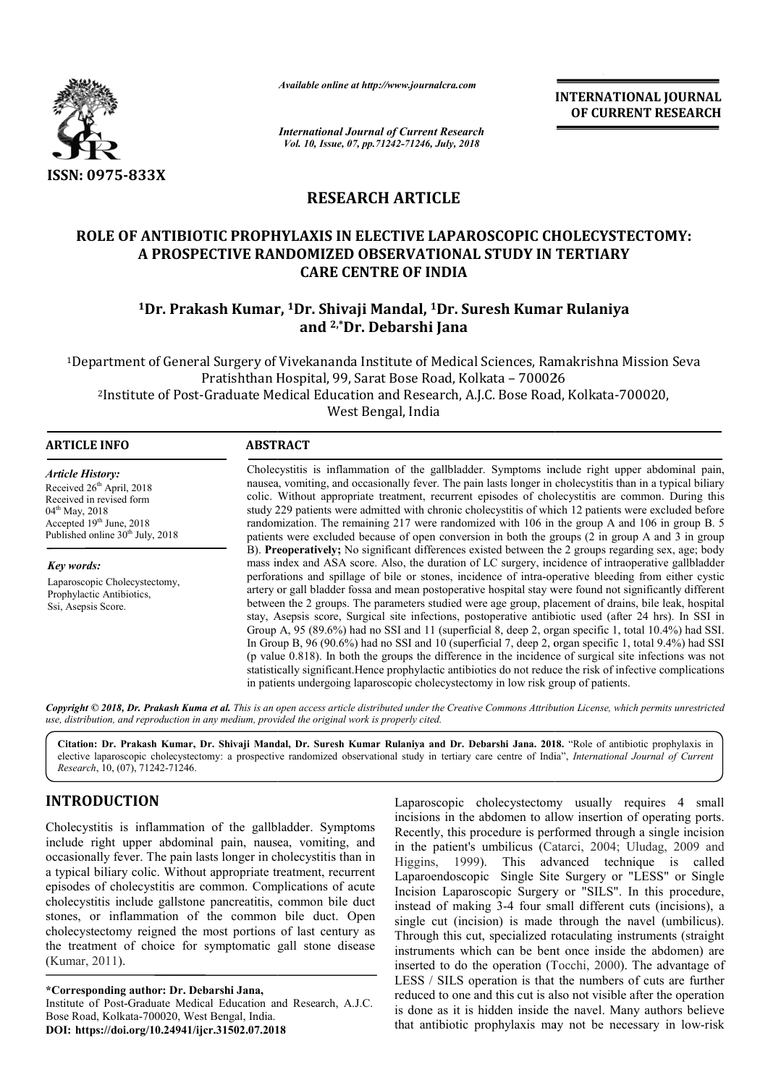

*Available online at http://www.journalcra.com*

*International Journal of Current Research Vol. 10, Issue, 07, pp.71242-71246, July, 2018*

**INTERNATIONAL JOURNAL OF CURRENT RESEARCH**

# **RESEARCH ARTICLE**

# **ROLE OF ANTIBIOTIC PROPHYLAXIS IN ELECTIVE LAPAROSCOPIC CHOLECYSTECTOMY: PROPHYLAXIS IN ELECTIVE A PROSPECTIVE RANDOMIZED OBSERVATIONAL STUDY IN TERTIARY 10 A PROSPECTIVE RANDOMIZED OBSERVATIONAL STUDY IN TERTIARY<br>CARE CENTRE OF INDIA<br><sup>1</sup>Dr. Prakash Kumar, <sup>1</sup>Dr. Shivaji Mandal, <sup>1</sup>Dr. Suresh Kumar Rulaniya CARE CENTRE OF INDIA**

# **and 2,\*Dr. Debarshi Jana**

1Department of General Surgery of Vivekananda Institute of Medical Sciences, Ramakrishna Mission Seva<br>Pratishthan Hospital, 99, Sarat Bose Road, Kolkata – 700026 Pratishthan Hospital, 99, Sarat Bose Road, Kolkata 2Institute of Post-Graduate Medical Education and Research, A.J.C. Bose Road, Kolkata raduate West Bengal, India Institute of Medical Sciences, Ramakrishna Mission Seva<br>arat Bose Road, Kolkata – 700026<br>on and Research, A.J.C. Bose Road, Kolkata-700020,

| <b>ARTICLE INFO</b>                                                                                                                                                                            | <b>ABSTRACT</b>                                                                                                                                                                                                                                                                                                                                                                                                                                                                                                                                                                                                                                                                                                                                                                                                                                                                                                                                                                   |  |  |  |  |
|------------------------------------------------------------------------------------------------------------------------------------------------------------------------------------------------|-----------------------------------------------------------------------------------------------------------------------------------------------------------------------------------------------------------------------------------------------------------------------------------------------------------------------------------------------------------------------------------------------------------------------------------------------------------------------------------------------------------------------------------------------------------------------------------------------------------------------------------------------------------------------------------------------------------------------------------------------------------------------------------------------------------------------------------------------------------------------------------------------------------------------------------------------------------------------------------|--|--|--|--|
| <b>Article History:</b><br>Received 26 <sup>th</sup> April, 2018<br>Received in revised form<br>$04^{\text{th}}$ May, 2018<br>Accepted $19th$ June, 2018<br>Published online $30th$ July, 2018 | Cholecystitis is inflammation of the gallbladder. Symptoms include right upper abdominal pain,<br>nausea, vomiting, and occasionally fever. The pain lasts longer in cholecystitis than in a typical biliary<br>colic. Without appropriate treatment, recurrent episodes of cholecystitis are common. During this<br>study 229 patients were admitted with chronic cholecystitis of which 12 patients were excluded before<br>randomization. The remaining 217 were randomized with 106 in the group A and 106 in group B. 5<br>patients were excluded because of open conversion in both the groups (2 in group A and 3 in group                                                                                                                                                                                                                                                                                                                                                 |  |  |  |  |
| Key words:<br>Laparoscopic Cholecystectomy,<br>Prophylactic Antibiotics,<br>Ssi, Asepsis Score.                                                                                                | B). Preoperatively; No significant differences existed between the 2 groups regarding sex, age; body<br>mass index and ASA score. Also, the duration of LC surgery, incidence of intraoperative gallbladder<br>perforations and spillage of bile or stones, incidence of intra-operative bleeding from either cystic<br>artery or gall bladder fossa and mean postoperative hospital stay were found not significantly different<br>between the 2 groups. The parameters studied were age group, placement of drains, bile leak, hospital<br>stay, Asepsis score, Surgical site infections, postoperative antibiotic used (after 24 hrs). In SSI in<br>Group A, 95 (89.6%) had no SSI and 11 (superficial 8, deep 2, organ specific 1, total 10.4%) had SSI.<br>In Group B, 96 (90.6%) had no SSI and 10 (superficial 7, deep 2, organ specific 1, total 9.4%) had SSI<br>(p value 0.818). In both the groups the difference in the incidence of surgical site infections was not |  |  |  |  |
|                                                                                                                                                                                                | statistically significant. Hence prophylactic antibiotics do not reduce the risk of infective complications<br>in patients undergoing laparoscopic cholecystectomy in low risk group of patients.                                                                                                                                                                                                                                                                                                                                                                                                                                                                                                                                                                                                                                                                                                                                                                                 |  |  |  |  |

Copyright © 2018, Dr. Prakash Kuma et al. This is an open access article distributed under the Creative Commons Attribution License, which permits unrestrictea *use, distribution, and reproduction in any medium, provided the original work is properly cited.*

**Citation: Dr. Prakash Kumar, Dr. Shivaji Mandal, Dr. Suresh Kumar Rulaniya and Dr. Debarshi Jana. 201 2018.** "Role of antibiotic prophylaxis in elective laparoscopic cholecystectomy: a prospective randomized observational study in tertiary care centre of India", *International Journal of Current Research*, 10, (07), 71242-71246.

# **INTRODUCTION**

Cholecystitis is inflammation of the gallbladder. Symptoms include right upper abdominal pain, nausea, vomiting, and occasionally fever. The pain lasts longer in cholecystitis than in a typical biliary colic. Without appropriate treatment, recurrent episodes of cholecystitis are common. Complications of acute cholecystitis include gallstone pancreatitis, common bile duct stones, or inflammation of the common bile duct. Open cholecystectomy reigned the most portions of last century as the treatment of choice for symptomatic gall stone disease (Kumar, 2011). y reigned<br>of choice<br>author: Di<br>Graduate N

**\*Corresponding author: Dr. Debarshi Jana,** Institute of Post-Graduate Medical Education and Research, A.J.C. Bose Road, Kolkata-700020, West Bengal, India. **DOI: https://doi.org/10.24941/ijcr.31502.07.2018**

**Laparoscopic** cholecystectomy usually requires 4 small<br>
incisions in the abdomen to allow insertion of operating ports.<br>
nausea, vomiting, and<br>
in the patiently, this procedure is performed through a single incision<br>
in t incisions in the abdomen to allow insertion of operating ports. Recently, this procedure is performed through a single incision incisions in the abdomen to allow insertion of operating ports.<br>Recently, this procedure is performed through a single incision<br>in the patient's umbilicus (Catarci, 2004; Uludag, 2009 and Higgins, 1999). This advanced technique is called Laparoendoscopic Single Site Surgery or "LESS" or Single Incision Laparoscopic Surgery or "SILS". In this procedure, instead of making 3-4 four small different cuts (incisions), a single cut (incision) is made through the navel (umbilicus). Through this cut, specialized rotaculating instruments (straight instruments which can be bent once inside the abdomen) are inserted to do the operation (Tocchi, 2000). The advantage of LESS / SILS operation is that the numbers of cuts are further reduced to one and this cut is also not visible after the operation is done as it is hidden inside the navel. Many authors believe that antibiotic prophylaxis may not be necessary in low 99). This advanced technique is called opic Single Site Surgery or "LESS" or Single roscopic Surgery or "SILS". In this procedure, king 3-4 four small different cuts (incisions), a cision) is made through the navel (umbili S / SILS operation is that the numbers of cuts are further ced to one and this cut is also not visible after the operation me as it is hidden inside the navel. Many authors believe antibiotic prophylaxis may not be necessa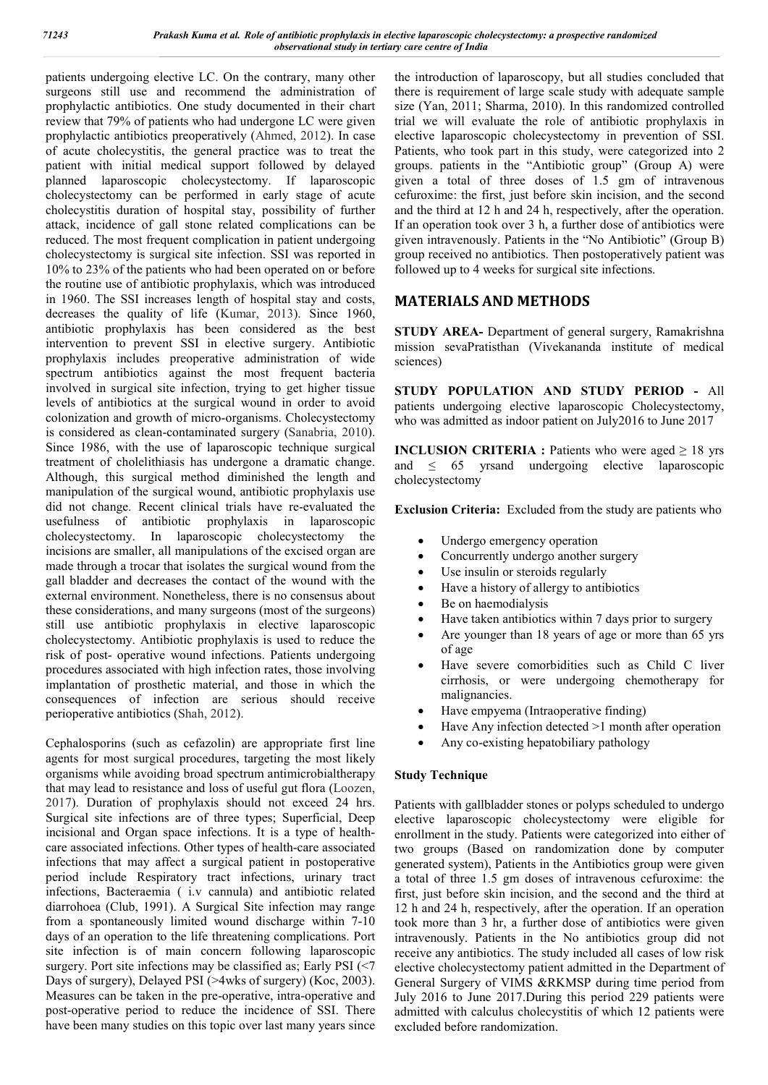patients undergoing elective LC. On the contrary, many other surgeons still use and recommend the administration of prophylactic antibiotics. One study documented in their chart review that 79% of patients who had undergone LC were given prophylactic antibiotics preoperatively (Ahmed, 2012). In case of acute cholecystitis, the general practice was to treat the patient with initial medical support followed by delayed planned laparoscopic cholecystectomy. If laparoscopic cholecystectomy can be performed in early stage of acute cholecystitis duration of hospital stay, possibility of further attack, incidence of gall stone related complications can be reduced. The most frequent complication in patient undergoing cholecystectomy is surgical site infection. SSI was reported in 10% to 23% of the patients who had been operated on or before the routine use of antibiotic prophylaxis, which was introduced in 1960. The SSI increases length of hospital stay and costs, decreases the quality of life (Kumar, 2013). Since 1960, antibiotic prophylaxis has been considered as the best intervention to prevent SSI in elective surgery. Antibiotic prophylaxis includes preoperative administration of wide spectrum antibiotics against the most frequent bacteria involved in surgical site infection, trying to get higher tissue levels of antibiotics at the surgical wound in order to avoid colonization and growth of micro-organisms. Cholecystectomy is considered as clean-contaminated surgery (Sanabria, 2010). Since 1986, with the use of laparoscopic technique surgical treatment of cholelithiasis has undergone a dramatic change. Although, this surgical method diminished the length and manipulation of the surgical wound, antibiotic prophylaxis use did not change. Recent clinical trials have re-evaluated the usefulness of antibiotic prophylaxis in laparoscopic cholecystectomy. In laparoscopic cholecystectomy the incisions are smaller, all manipulations of the excised organ are made through a trocar that isolates the surgical wound from the gall bladder and decreases the contact of the wound with the external environment. Nonetheless, there is no consensus about these considerations, and many surgeons (most of the surgeons) still use antibiotic prophylaxis in elective laparoscopic cholecystectomy. Antibiotic prophylaxis is used to reduce the risk of post- operative wound infections. Patients undergoing procedures associated with high infection rates, those involving implantation of prosthetic material, and those in which the consequences of infection are serious should receive perioperative antibiotics (Shah, 2012).

Cephalosporins (such as cefazolin) are appropriate first line agents for most surgical procedures, targeting the most likely organisms while avoiding broad spectrum antimicrobialtherapy that may lead to resistance and loss of useful gut flora (Loozen, 2017). Duration of prophylaxis should not exceed 24 hrs. Surgical site infections are of three types; Superficial, Deep incisional and Organ space infections. It is a type of healthcare associated infections. Other types of health-care associated infections that may affect a surgical patient in postoperative period include Respiratory tract infections, urinary tract infections, Bacteraemia ( i.v cannula) and antibiotic related diarrohoea (Club, 1991). A Surgical Site infection may range from a spontaneously limited wound discharge within 7-10 days of an operation to the life threatening complications. Port site infection is of main concern following laparoscopic surgery. Port site infections may be classified as; Early PSI (<7 Days of surgery), Delayed PSI (>4wks of surgery) (Koc, 2003). Measures can be taken in the pre-operative, intra-operative and post-operative period to reduce the incidence of SSI. There have been many studies on this topic over last many years since

the introduction of laparoscopy, but all studies concluded that there is requirement of large scale study with adequate sample size (Yan, 2011; Sharma, 2010). In this randomized controlled trial we will evaluate the role of antibiotic prophylaxis in elective laparoscopic cholecystectomy in prevention of SSI. Patients, who took part in this study, were categorized into 2 groups. patients in the "Antibiotic group" (Group A) were given a total of three doses of 1.5 gm of intravenous cefuroxime: the first, just before skin incision, and the second and the third at 12 h and 24 h, respectively, after the operation. If an operation took over 3 h, a further dose of antibiotics were given intravenously. Patients in the "No Antibiotic" (Group B) group received no antibiotics. Then postoperatively patient was followed up to 4 weeks for surgical site infections.

# **MATERIALS AND METHODS**

**STUDY AREA-** Department of general surgery, Ramakrishna mission sevaPratisthan (Vivekananda institute of medical sciences)

**STUDY POPULATION AND STUDY PERIOD -** All patients undergoing elective laparoscopic Cholecystectomy, who was admitted as indoor patient on July2016 to June 2017

**INCLUSION CRITERIA :** Patients who were aged  $\geq 18$  yrs and  $\leq$  65 yrsand undergoing elective laparoscopic cholecystectomy

**Exclusion Criteria:** Excluded from the study are patients who

- Undergo emergency operation
- Concurrently undergo another surgery
- Use insulin or steroids regularly
- Have a history of allergy to antibiotics
- Be on haemodialysis
- Have taken antibiotics within 7 days prior to surgery
- Are younger than 18 years of age or more than 65 yrs of age
- Have severe comorbidities such as Child C liver cirrhosis, or were undergoing chemotherapy for malignancies.
- Have empyema (Intraoperative finding)
- Have Any infection detected >1 month after operation
- Any co-existing hepatobiliary pathology

#### **Study Technique**

Patients with gallbladder stones or polyps scheduled to undergo elective laparoscopic cholecystectomy were eligible for enrollment in the study. Patients were categorized into either of two groups (Based on randomization done by computer generated system), Patients in the Antibiotics group were given a total of three 1.5 gm doses of intravenous cefuroxime: the first, just before skin incision, and the second and the third at 12 h and 24 h, respectively, after the operation. If an operation took more than 3 hr, a further dose of antibiotics were given intravenously. Patients in the No antibiotics group did not receive any antibiotics. The study included all cases of low risk elective cholecystectomy patient admitted in the Department of General Surgery of VIMS &RKMSP during time period from July 2016 to June 2017.During this period 229 patients were admitted with calculus cholecystitis of which 12 patients were excluded before randomization.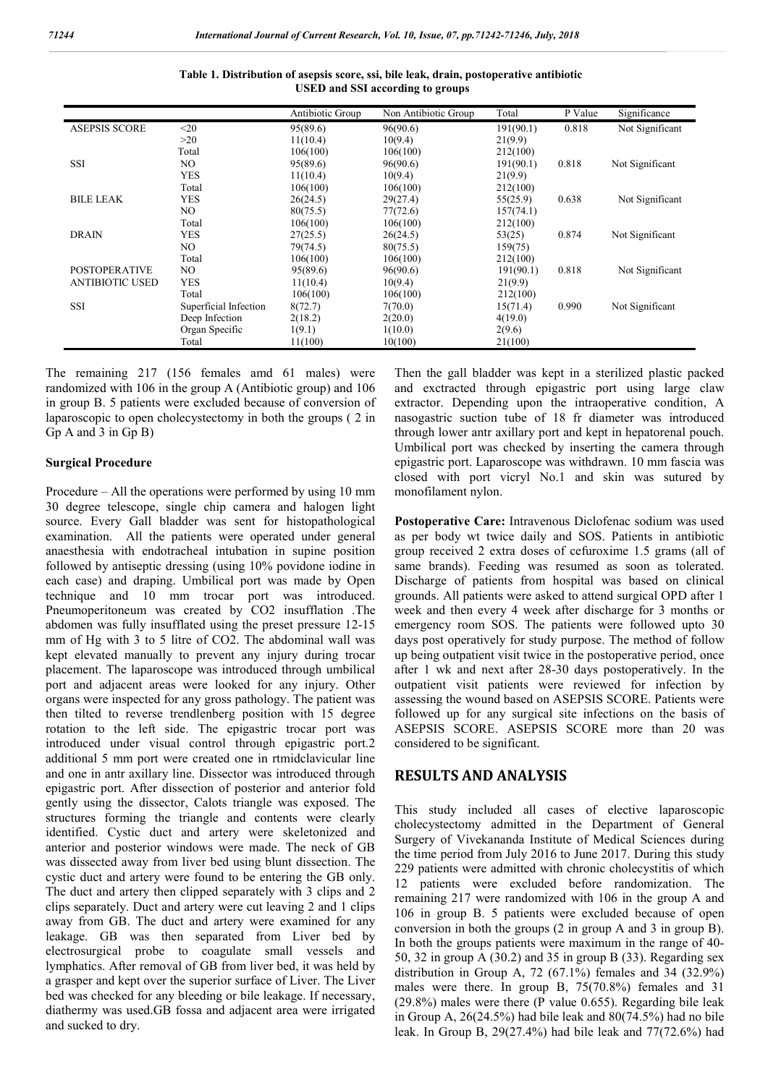|                        |                       | Antibiotic Group | Non Antibiotic Group | Total     | P Value | Significance    |
|------------------------|-----------------------|------------------|----------------------|-----------|---------|-----------------|
| <b>ASEPSIS SCORE</b>   | $20$                  | 95(89.6)         | 96(90.6)             | 191(90.1) | 0.818   | Not Significant |
|                        | >20                   | 11(10.4)         | 10(9.4)              | 21(9.9)   |         |                 |
|                        | Total                 | 106(100)         | 106(100)             | 212(100)  |         |                 |
| <b>SSI</b>             | NO.                   | 95(89.6)         | 96(90.6)             | 191(90.1) | 0.818   | Not Significant |
|                        | <b>YES</b>            | 11(10.4)         | 10(9.4)              | 21(9.9)   |         |                 |
|                        | Total                 | 106(100)         | 106(100)             | 212(100)  |         |                 |
| <b>BILE LEAK</b>       | <b>YES</b>            | 26(24.5)         | 29(27.4)             | 55(25.9)  | 0.638   | Not Significant |
|                        | NO.                   | 80(75.5)         | 77(72.6)             | 157(74.1) |         |                 |
|                        | Total                 | 106(100)         | 106(100)             | 212(100)  |         |                 |
| <b>DRAIN</b>           | <b>YES</b>            | 27(25.5)         | 26(24.5)             | 53(25)    | 0.874   | Not Significant |
|                        | NO.                   | 79(74.5)         | 80(75.5)             | 159(75)   |         |                 |
|                        | Total                 | 106(100)         | 106(100)             | 212(100)  |         |                 |
| <b>POSTOPERATIVE</b>   | NO.                   | 95(89.6)         | 96(90.6)             | 191(90.1) | 0.818   | Not Significant |
| <b>ANTIBIOTIC USED</b> | <b>YES</b>            | 11(10.4)         | 10(9.4)              | 21(9.9)   |         |                 |
|                        | Total                 | 106(100)         | 106(100)             | 212(100)  |         |                 |
| <b>SSI</b>             | Superficial Infection | 8(72.7)          | 7(70.0)              | 15(71.4)  | 0.990   | Not Significant |
|                        | Deep Infection        | 2(18.2)          | 2(20.0)              | 4(19.0)   |         |                 |
|                        | Organ Specific        | 1(9.1)           | 1(10.0)              | 2(9.6)    |         |                 |
|                        | Total                 | 11(100)          | 10(100)              | 21(100)   |         |                 |

**Table 1. Distribution of asepsis score, ssi, bile leak, drain, postoperative antibiotic USED and SSI according to groups**

The remaining 217 (156 females amd 61 males) were randomized with 106 in the group A (Antibiotic group) and 106 in group B. 5 patients were excluded because of conversion of laparoscopic to open cholecystectomy in both the groups ( 2 in Gp A and 3 in Gp B)

#### **Surgical Procedure**

Procedure – All the operations were performed by using 10 mm 30 degree telescope, single chip camera and halogen light source. Every Gall bladder was sent for histopathological examination. All the patients were operated under general anaesthesia with endotracheal intubation in supine position followed by antiseptic dressing (using 10% povidone iodine in each case) and draping. Umbilical port was made by Open technique and 10 mm trocar port was introduced. Pneumoperitoneum was created by CO2 insufflation .The abdomen was fully insufflated using the preset pressure 12-15 mm of Hg with 3 to 5 litre of CO2. The abdominal wall was kept elevated manually to prevent any injury during trocar placement. The laparoscope was introduced through umbilical port and adjacent areas were looked for any injury. Other organs were inspected for any gross pathology. The patient was then tilted to reverse trendlenberg position with 15 degree rotation to the left side. The epigastric trocar port was introduced under visual control through epigastric port.2 additional 5 mm port were created one in rtmidclavicular line and one in antr axillary line. Dissector was introduced through epigastric port. After dissection of posterior and anterior fold gently using the dissector, Calots triangle was exposed. The structures forming the triangle and contents were clearly identified. Cystic duct and artery were skeletonized and anterior and posterior windows were made. The neck of GB was dissected away from liver bed using blunt dissection. The cystic duct and artery were found to be entering the GB only. The duct and artery then clipped separately with 3 clips and 2 clips separately. Duct and artery were cut leaving 2 and 1 clips away from GB. The duct and artery were examined for any leakage. GB was then separated from Liver bed by electrosurgical probe to coagulate small vessels and lymphatics. After removal of GB from liver bed, it was held by a grasper and kept over the superior surface of Liver. The Liver bed was checked for any bleeding or bile leakage. If necessary, diathermy was used.GB fossa and adjacent area were irrigated and sucked to dry.

Then the gall bladder was kept in a sterilized plastic packed and exctracted through epigastric port using large claw extractor. Depending upon the intraoperative condition, A nasogastric suction tube of 18 fr diameter was introduced through lower antr axillary port and kept in hepatorenal pouch. Umbilical port was checked by inserting the camera through epigastric port. Laparoscope was withdrawn. 10 mm fascia was closed with port vicryl No.1 and skin was sutured by monofilament nylon.

**Postoperative Care:** Intravenous Diclofenac sodium was used as per body wt twice daily and SOS. Patients in antibiotic group received 2 extra doses of cefuroxime 1.5 grams (all of same brands). Feeding was resumed as soon as tolerated. Discharge of patients from hospital was based on clinical grounds. All patients were asked to attend surgical OPD after 1 week and then every 4 week after discharge for 3 months or emergency room SOS. The patients were followed upto 30 days post operatively for study purpose. The method of follow up being outpatient visit twice in the postoperative period, once after 1 wk and next after 28-30 days postoperatively. In the outpatient visit patients were reviewed for infection by assessing the wound based on ASEPSIS SCORE. Patients were followed up for any surgical site infections on the basis of ASEPSIS SCORE. ASEPSIS SCORE more than 20 was considered to be significant.

# **RESULTS AND ANALYSIS**

This study included all cases of elective laparoscopic cholecystectomy admitted in the Department of General Surgery of Vivekananda Institute of Medical Sciences during the time period from July 2016 to June 2017. During this study 229 patients were admitted with chronic cholecystitis of which 12 patients were excluded before randomization. The remaining 217 were randomized with 106 in the group A and 106 in group B. 5 patients were excluded because of open conversion in both the groups (2 in group A and 3 in group B). In both the groups patients were maximum in the range of 40- 50, 32 in group A (30.2) and 35 in group B (33). Regarding sex distribution in Group A,  $72$  (67.1%) females and  $34$  (32.9%) males were there. In group B, 75(70.8%) females and 31 (29.8%) males were there (P value 0.655). Regarding bile leak in Group A, 26(24.5%) had bile leak and 80(74.5%) had no bile leak. In Group B, 29(27.4%) had bile leak and 77(72.6%) had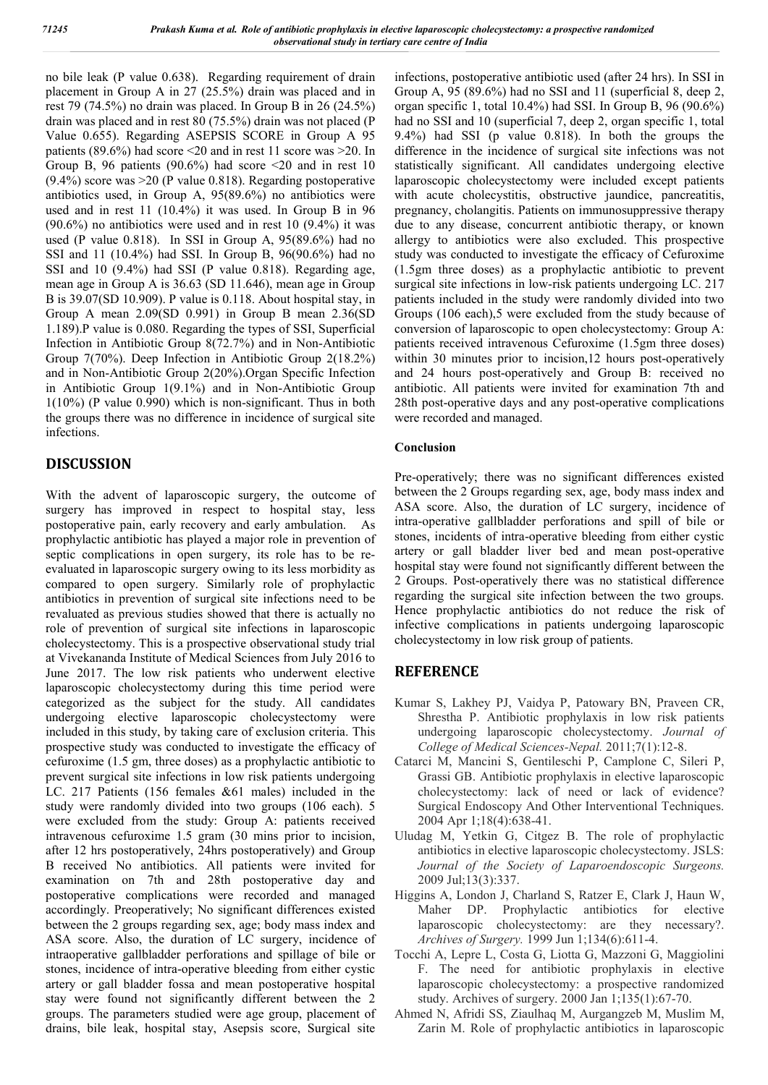no bile leak (P value 0.638). Regarding requirement of drain placement in Group A in 27 (25.5%) drain was placed and in rest 79 (74.5%) no drain was placed. In Group B in 26 (24.5%) drain was placed and in rest 80 (75.5%) drain was not placed (P Value 0.655). Regarding ASEPSIS SCORE in Group A 95 patients (89.6%) had score  $\leq$ 20 and in rest 11 score was  $\geq$ 20. In Group B, 96 patients (90.6%) had score  $\leq 20$  and in rest 10 (9.4%) score was >20 (P value 0.818). Regarding postoperative antibiotics used, in Group A, 95(89.6%) no antibiotics were used and in rest 11 (10.4%) it was used. In Group B in 96  $(90.6\%)$  no antibiotics were used and in rest 10  $(9.4\%)$  it was used (P value 0.818). In SSI in Group A, 95(89.6%) had no SSI and 11 (10.4%) had SSI. In Group B, 96(90.6%) had no SSI and 10 (9.4%) had SSI (P value 0.818). Regarding age, mean age in Group A is 36.63 (SD 11.646), mean age in Group B is 39.07(SD 10.909). P value is 0.118. About hospital stay, in Group A mean 2.09(SD 0.991) in Group B mean 2.36(SD 1.189).P value is 0.080. Regarding the types of SSI, Superficial Infection in Antibiotic Group 8(72.7%) and in Non-Antibiotic Group 7(70%). Deep Infection in Antibiotic Group 2(18.2%) and in Non-Antibiotic Group 2(20%).Organ Specific Infection in Antibiotic Group 1(9.1%) and in Non-Antibiotic Group 1(10%) (P value 0.990) which is non-significant. Thus in both the groups there was no difference in incidence of surgical site infections.

# **DISCUSSION**

With the advent of laparoscopic surgery, the outcome of surgery has improved in respect to hospital stay, less postoperative pain, early recovery and early ambulation. As prophylactic antibiotic has played a major role in prevention of septic complications in open surgery, its role has to be reevaluated in laparoscopic surgery owing to its less morbidity as compared to open surgery. Similarly role of prophylactic antibiotics in prevention of surgical site infections need to be revaluated as previous studies showed that there is actually no role of prevention of surgical site infections in laparoscopic cholecystectomy. This is a prospective observational study trial at Vivekananda Institute of Medical Sciences from July 2016 to June 2017. The low risk patients who underwent elective laparoscopic cholecystectomy during this time period were categorized as the subject for the study. All candidates undergoing elective laparoscopic cholecystectomy were included in this study, by taking care of exclusion criteria. This prospective study was conducted to investigate the efficacy of cefuroxime (1.5 gm, three doses) as a prophylactic antibiotic to prevent surgical site infections in low risk patients undergoing LC. 217 Patients (156 females &61 males) included in the study were randomly divided into two groups (106 each). 5 were excluded from the study: Group A: patients received intravenous cefuroxime 1.5 gram (30 mins prior to incision, after 12 hrs postoperatively, 24hrs postoperatively) and Group B received No antibiotics. All patients were invited for examination on 7th and 28th postoperative day and postoperative complications were recorded and managed accordingly. Preoperatively; No significant differences existed between the 2 groups regarding sex, age; body mass index and ASA score. Also, the duration of LC surgery, incidence of intraoperative gallbladder perforations and spillage of bile or stones, incidence of intra-operative bleeding from either cystic artery or gall bladder fossa and mean postoperative hospital stay were found not significantly different between the 2 groups. The parameters studied were age group, placement of drains, bile leak, hospital stay, Asepsis score, Surgical site

infections, postoperative antibiotic used (after 24 hrs). In SSI in Group A, 95 (89.6%) had no SSI and 11 (superficial 8, deep 2, organ specific 1, total 10.4%) had SSI. In Group B, 96 (90.6%) had no SSI and 10 (superficial 7, deep 2, organ specific 1, total 9.4%) had SSI (p value 0.818). In both the groups the difference in the incidence of surgical site infections was not statistically significant. All candidates undergoing elective laparoscopic cholecystectomy were included except patients with acute cholecystitis, obstructive jaundice, pancreatitis, pregnancy, cholangitis. Patients on immunosuppressive therapy due to any disease, concurrent antibiotic therapy, or known allergy to antibiotics were also excluded. This prospective study was conducted to investigate the efficacy of Cefuroxime (1.5gm three doses) as a prophylactic antibiotic to prevent surgical site infections in low-risk patients undergoing LC. 217 patients included in the study were randomly divided into two Groups (106 each),5 were excluded from the study because of conversion of laparoscopic to open cholecystectomy: Group A: patients received intravenous Cefuroxime (1.5gm three doses) within 30 minutes prior to incision, 12 hours post-operatively and 24 hours post-operatively and Group B: received no antibiotic. All patients were invited for examination 7th and 28th post-operative days and any post-operative complications were recorded and managed.

### **Conclusion**

Pre-operatively; there was no significant differences existed between the 2 Groups regarding sex, age, body mass index and ASA score. Also, the duration of LC surgery, incidence of intra-operative gallbladder perforations and spill of bile or stones, incidents of intra-operative bleeding from either cystic artery or gall bladder liver bed and mean post-operative hospital stay were found not significantly different between the 2 Groups. Post-operatively there was no statistical difference regarding the surgical site infection between the two groups. Hence prophylactic antibiotics do not reduce the risk of infective complications in patients undergoing laparoscopic cholecystectomy in low risk group of patients.

# **REFERENCE**

- Kumar S, Lakhey PJ, Vaidya P, Patowary BN, Praveen CR, Shrestha P. Antibiotic prophylaxis in low risk patients undergoing laparoscopic cholecystectomy. *Journal of College of Medical Sciences-Nepal.* 2011;7(1):12-8.
- Catarci M, Mancini S, Gentileschi P, Camplone C, Sileri P, Grassi GB. Antibiotic prophylaxis in elective laparoscopic cholecystectomy: lack of need or lack of evidence? Surgical Endoscopy And Other Interventional Techniques. 2004 Apr 1;18(4):638-41.
- Uludag M, Yetkin G, Citgez B. The role of prophylactic antibiotics in elective laparoscopic cholecystectomy. JSLS: *Journal of the Society of Laparoendoscopic Surgeons.* 2009 Jul;13(3):337.
- Higgins A, London J, Charland S, Ratzer E, Clark J, Haun W, Maher DP. Prophylactic antibiotics for elective laparoscopic cholecystectomy: are they necessary?. *Archives of Surgery.* 1999 Jun 1;134(6):611-4.
- Tocchi A, Lepre L, Costa G, Liotta G, Mazzoni G, Maggiolini F. The need for antibiotic prophylaxis in elective laparoscopic cholecystectomy: a prospective randomized study. Archives of surgery. 2000 Jan 1;135(1):67-70.
- Ahmed N, Afridi SS, Ziaulhaq M, Aurgangzeb M, Muslim M, Zarin M. Role of prophylactic antibiotics in laparoscopic